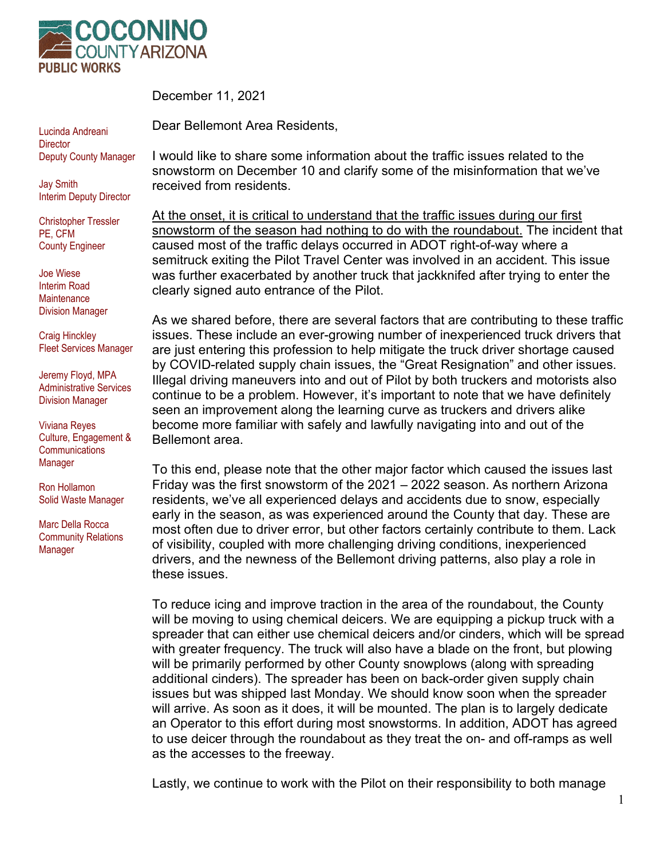

December 11, 2021

Dear Bellemont Area Residents,

Lucinda Andreani **Director** Deputy County Manager

Jay Smith Interim Deputy Director

Christopher Tressler PE, CFM County Engineer

Joe Wiese Interim Road **Maintenance** Division Manager

Craig Hinckley Fleet Services Manager

Jeremy Floyd, MPA Administrative Services Division Manager

Viviana Reyes Culture, Engagement & **Communications** Manager

Ron Hollamon Solid Waste Manager

Marc Della Rocca Community Relations Manager

I would like to share some information about the traffic issues related to the snowstorm on December 10 and clarify some of the misinformation that we've received from residents.

At the onset, it is critical to understand that the traffic issues during our first snowstorm of the season had nothing to do with the roundabout. The incident that caused most of the traffic delays occurred in ADOT right-of-way where a semitruck exiting the Pilot Travel Center was involved in an accident. This issue was further exacerbated by another truck that jackknifed after trying to enter the clearly signed auto entrance of the Pilot.

As we shared before, there are several factors that are contributing to these traffic issues. These include an ever-growing number of inexperienced truck drivers that are just entering this profession to help mitigate the truck driver shortage caused by COVID-related supply chain issues, the "Great Resignation" and other issues. Illegal driving maneuvers into and out of Pilot by both truckers and motorists also continue to be a problem. However, it's important to note that we have definitely seen an improvement along the learning curve as truckers and drivers alike become more familiar with safely and lawfully navigating into and out of the Bellemont area.

To this end, please note that the other major factor which caused the issues last Friday was the first snowstorm of the 2021 – 2022 season. As northern Arizona residents, we've all experienced delays and accidents due to snow, especially early in the season, as was experienced around the County that day. These are most often due to driver error, but other factors certainly contribute to them. Lack of visibility, coupled with more challenging driving conditions, inexperienced drivers, and the newness of the Bellemont driving patterns, also play a role in these issues.

To reduce icing and improve traction in the area of the roundabout, the County will be moving to using chemical deicers. We are equipping a pickup truck with a spreader that can either use chemical deicers and/or cinders, which will be spread with greater frequency. The truck will also have a blade on the front, but plowing will be primarily performed by other County snowplows (along with spreading additional cinders). The spreader has been on back-order given supply chain issues but was shipped last Monday. We should know soon when the spreader will arrive. As soon as it does, it will be mounted. The plan is to largely dedicate an Operator to this effort during most snowstorms. In addition, ADOT has agreed to use deicer through the roundabout as they treat the on- and off-ramps as well as the accesses to the freeway.

Lastly, we continue to work with the Pilot on their responsibility to both manage